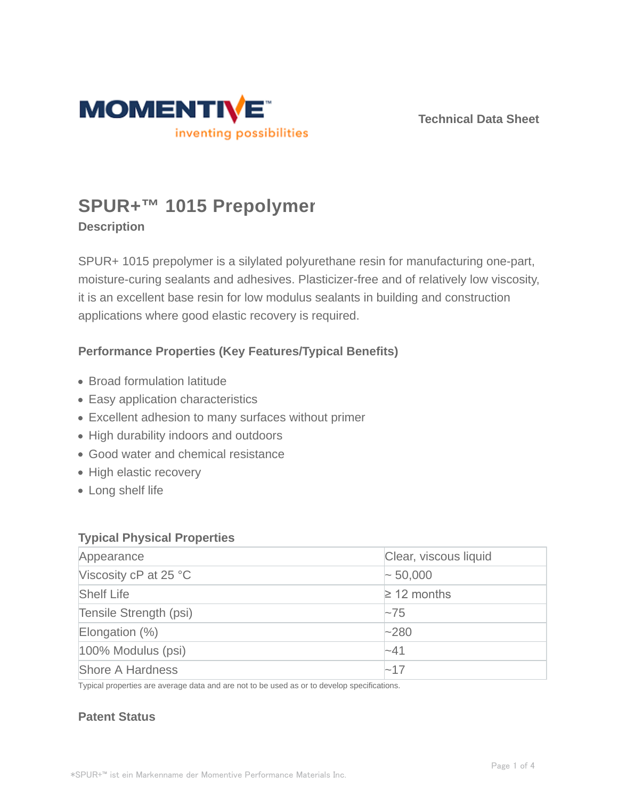

**Technical Data Sheet**

# **SPUR+™ 1015 Prepolymer**

# **Description**

SPUR+ 1015 prepolymer is a silylated polyurethane resin for manufacturing one-part, moisture-curing sealants and adhesives. Plasticizer-free and of relatively low viscosity, it is an excellent base resin for low modulus sealants in building and construction applications where good elastic recovery is required.

# **Performance Properties (Key Features/Typical Benefits)**

- Broad formulation latitude
- Easy application characteristics
- Excellent adhesion to many surfaces without primer
- High durability indoors and outdoors
- Good water and chemical resistance
- High elastic recovery
- Long shelf life

## **Typical Physical Properties**

| Appearance              | Clear, viscous liquid |  |
|-------------------------|-----------------------|--|
| Viscosity cP at 25 °C   | $\sim 50,000$         |  |
| <b>Shelf Life</b>       | $\geq$ 12 months      |  |
| Tensile Strength (psi)  | $\sim$ 75             |  |
| Elongation $(\%)$       | $-280$                |  |
| 100% Modulus (psi)      | $-41$                 |  |
| <b>Shore A Hardness</b> | $-17$                 |  |

Typical properties are average data and are not to be used as or to develop specifications.

## **Patent Status**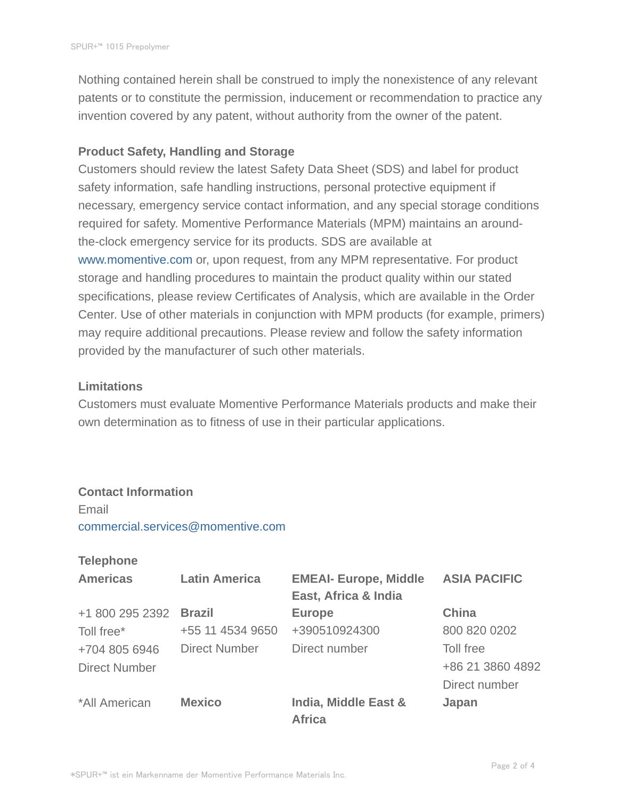Nothing contained herein shall be construed to imply the nonexistence of any relevant patents or to constitute the permission, inducement or recommendation to practice any invention covered by any patent, without authority from the owner of the patent.

### **Product Safety, Handling and Storage**

Customers should review the latest Safety Data Sheet (SDS) and label for product safety information, safe handling instructions, personal protective equipment if necessary, emergency service contact information, and any special storage conditions required for safety. Momentive Performance Materials (MPM) maintains an aroundthe-clock emergency service for its products. SDS are available at www.momentive.com or, upon request, from any MPM representative. For product storage and handling procedures to maintain the product quality within our stated specifications, please review Certificates of Analysis, which are available in the Order Center. Use of other materials in conjunction with MPM products (for example, primers) may require additional precautions. Please review and follow the safety information provided by the manufacturer of such other materials.

#### **Limitations**

Customers must evaluate Momentive Performance Materials products and make their own determination as to fitness of use in their particular applications.

## **Contact Information**

Email commercial.services@momentive.com

#### **Telephone**

| <b>Americas</b>      | <b>Latin America</b> | <b>EMEAI- Europe, Middle</b>          | <b>ASIA PACIFIC</b> |
|----------------------|----------------------|---------------------------------------|---------------------|
|                      |                      | East, Africa & India                  |                     |
| +1 800 295 2392      | <b>Brazil</b>        | <b>Europe</b>                         | <b>China</b>        |
| Toll free*           | +55 11 4534 9650     | +390510924300                         | 800 820 0202        |
| +704 805 6946        | <b>Direct Number</b> | Direct number                         | Toll free           |
| <b>Direct Number</b> |                      |                                       | +86 21 3860 4892    |
|                      |                      |                                       | Direct number       |
| *All American        | <b>Mexico</b>        | India, Middle East &<br><b>Africa</b> | Japan               |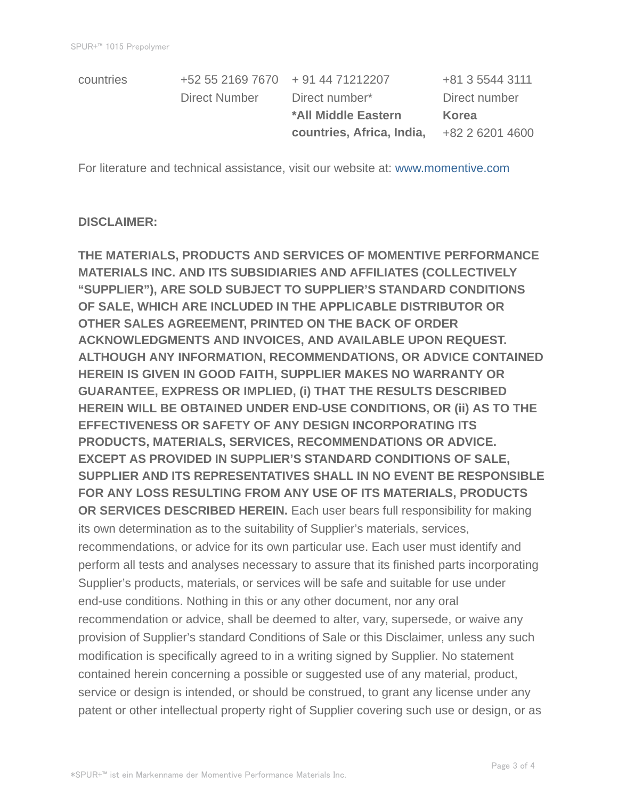| countries | +52 55 2169 7670 + 91 44 71212207 |                           | +81 3 5544 3111 |
|-----------|-----------------------------------|---------------------------|-----------------|
|           | Direct Number                     | Direct number*            | Direct number   |
|           |                                   | *All Middle Eastern       |                 |
|           |                                   |                           | <b>Korea</b>    |
|           |                                   | countries, Africa, India, | +82 2 6201 4600 |

For literature and technical assistance, visit our website at: www.momentive.com

#### **DISCLAIMER:**

**THE MATERIALS, PRODUCTS AND SERVICES OF MOMENTIVE PERFORMANCE MATERIALS INC. AND ITS SUBSIDIARIES AND AFFILIATES (COLLECTIVELY "SUPPLIER"), ARE SOLD SUBJECT TO SUPPLIER'S STANDARD CONDITIONS OF SALE, WHICH ARE INCLUDED IN THE APPLICABLE DISTRIBUTOR OR OTHER SALES AGREEMENT, PRINTED ON THE BACK OF ORDER ACKNOWLEDGMENTS AND INVOICES, AND AVAILABLE UPON REQUEST. ALTHOUGH ANY INFORMATION, RECOMMENDATIONS, OR ADVICE CONTAINED HEREIN IS GIVEN IN GOOD FAITH, SUPPLIER MAKES NO WARRANTY OR GUARANTEE, EXPRESS OR IMPLIED, (i) THAT THE RESULTS DESCRIBED HEREIN WILL BE OBTAINED UNDER END-USE CONDITIONS, OR (ii) AS TO THE EFFECTIVENESS OR SAFETY OF ANY DESIGN INCORPORATING ITS PRODUCTS, MATERIALS, SERVICES, RECOMMENDATIONS OR ADVICE. EXCEPT AS PROVIDED IN SUPPLIER'S STANDARD CONDITIONS OF SALE, SUPPLIER AND ITS REPRESENTATIVES SHALL IN NO EVENT BE RESPONSIBLE FOR ANY LOSS RESULTING FROM ANY USE OF ITS MATERIALS, PRODUCTS OR SERVICES DESCRIBED HEREIN.** Each user bears full responsibility for making its own determination as to the suitability of Supplier's materials, services, recommendations, or advice for its own particular use. Each user must identify and perform all tests and analyses necessary to assure that its finished parts incorporating Supplier's products, materials, or services will be safe and suitable for use under end-use conditions. Nothing in this or any other document, nor any oral recommendation or advice, shall be deemed to alter, vary, supersede, or waive any provision of Supplier's standard Conditions of Sale or this Disclaimer, unless any such modification is specifically agreed to in a writing signed by Supplier. No statement contained herein concerning a possible or suggested use of any material, product, service or design is intended, or should be construed, to grant any license under any patent or other intellectual property right of Supplier covering such use or design, or as